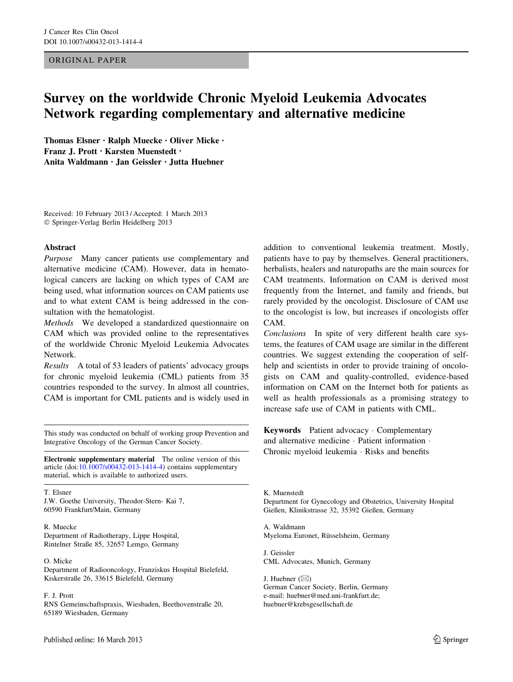# ORIGINAL PAPER

# Survey on the worldwide Chronic Myeloid Leukemia Advocates Network regarding complementary and alternative medicine

Thomas Elsner • Ralph Muecke • Oliver Micke • Franz J. Prott • Karsten Muenstedt • Anita Waldmann • Jan Geissler • Jutta Huebner

Received: 10 February 2013 / Accepted: 1 March 2013 - Springer-Verlag Berlin Heidelberg 2013

### Abstract

Purpose Many cancer patients use complementary and alternative medicine (CAM). However, data in hematological cancers are lacking on which types of CAM are being used, what information sources on CAM patients use and to what extent CAM is being addressed in the consultation with the hematologist.

Methods We developed a standardized questionnaire on CAM which was provided online to the representatives of the worldwide Chronic Myeloid Leukemia Advocates Network.

Results A total of 53 leaders of patients' advocacy groups for chronic myeloid leukemia (CML) patients from 35 countries responded to the survey. In almost all countries, CAM is important for CML patients and is widely used in

This study was conducted on behalf of working group Prevention and Integrative Oncology of the German Cancer Society.

Electronic supplementary material The online version of this article (doi:[10.1007/s00432-013-1414-4\)](http://dx.doi.org/10.1007/s00432-013-1414-4) contains supplementary material, which is available to authorized users.

T. Elsner J.W. Goethe University, Theodor-Stern- Kai 7, 60590 Frankfurt/Main, Germany

R. Muecke Department of Radiotherapy, Lippe Hospital, Rintelner Straße 85, 32657 Lemgo, Germany

O. Micke

Department of Radiooncology, Franziskus Hospital Bielefeld, Kiskerstraße 26, 33615 Bielefeld, Germany

F. J. Prott

RNS Gemeinschaftspraxis, Wiesbaden, Beethovenstraße 20, 65189 Wiesbaden, Germany

addition to conventional leukemia treatment. Mostly, patients have to pay by themselves. General practitioners, herbalists, healers and naturopaths are the main sources for CAM treatments. Information on CAM is derived most frequently from the Internet, and family and friends, but rarely provided by the oncologist. Disclosure of CAM use to the oncologist is low, but increases if oncologists offer CAM.

Conclusions In spite of very different health care systems, the features of CAM usage are similar in the different countries. We suggest extending the cooperation of selfhelp and scientists in order to provide training of oncologists on CAM and quality-controlled, evidence-based information on CAM on the Internet both for patients as well as health professionals as a promising strategy to increase safe use of CAM in patients with CML.

Keywords Patient advocacy - Complementary and alternative medicine · Patient information · Chronic myeloid leukemia - Risks and benefits

K. Muenstedt Department for Gynecology and Obstetrics, University Hospital Gießen, Klinikstrasse 32, 35392 Gießen, Germany

A. Waldmann Myeloma Euronet, Rüsselsheim, Germany

J. Geissler CML Advocates, Munich, Germany

J. Huebner  $(\boxtimes)$ German Cancer Society, Berlin, Germany e-mail: huebner@med.uni-frankfurt.de; huebner@krebsgesellschaft.de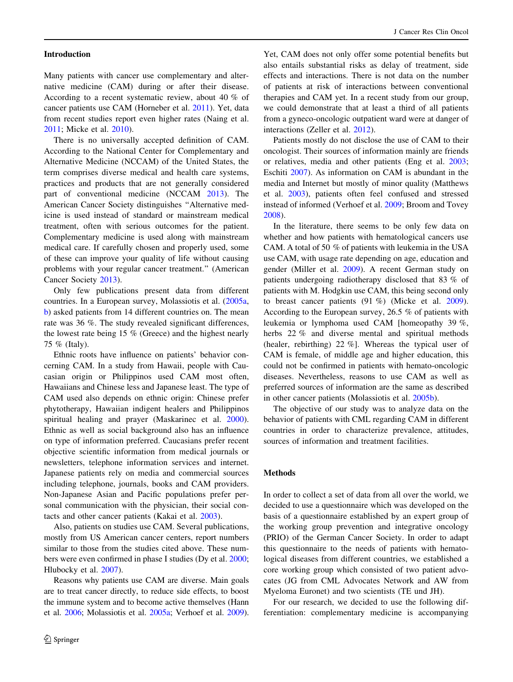#### Introduction

Many patients with cancer use complementary and alternative medicine (CAM) during or after their disease. According to a recent systematic review, about 40 % of cancer patients use CAM (Horneber et al. [2011\)](#page-6-0). Yet, data from recent studies report even higher rates (Naing et al. [2011;](#page-6-0) Micke et al. [2010\)](#page-6-0).

There is no universally accepted definition of CAM. According to the National Center for Complementary and Alternative Medicine (NCCAM) of the United States, the term comprises diverse medical and health care systems, practices and products that are not generally considered part of conventional medicine (NCCAM [2013](#page-6-0)). The American Cancer Society distinguishes ''Alternative medicine is used instead of standard or mainstream medical treatment, often with serious outcomes for the patient. Complementary medicine is used along with mainstream medical care. If carefully chosen and properly used, some of these can improve your quality of life without causing problems with your regular cancer treatment.'' (American Cancer Society [2013](#page-6-0)).

Only few publications present data from different countries. In a European survey, Molassiotis et al. [\(2005a,](#page-6-0) [b](#page-6-0)) asked patients from 14 different countries on. The mean rate was 36 %. The study revealed significant differences, the lowest rate being 15 % (Greece) and the highest nearly 75 % (Italy).

Ethnic roots have influence on patients' behavior concerning CAM. In a study from Hawaii, people with Caucasian origin or Philippinos used CAM most often, Hawaiians and Chinese less and Japanese least. The type of CAM used also depends on ethnic origin: Chinese prefer phytotherapy, Hawaiian indigent healers and Philippinos spiritual healing and prayer (Maskarinec et al. [2000](#page-6-0)). Ethnic as well as social background also has an influence on type of information preferred. Caucasians prefer recent objective scientific information from medical journals or newsletters, telephone information services and internet. Japanese patients rely on media and commercial sources including telephone, journals, books and CAM providers. Non-Japanese Asian and Pacific populations prefer personal communication with the physician, their social contacts and other cancer patients (Kakai et al. [2003\)](#page-6-0).

Also, patients on studies use CAM. Several publications, mostly from US American cancer centers, report numbers similar to those from the studies cited above. These numbers were even confirmed in phase I studies (Dy et al. [2000](#page-6-0); Hlubocky et al. [2007](#page-6-0)).

Reasons why patients use CAM are diverse. Main goals are to treat cancer directly, to reduce side effects, to boost the immune system and to become active themselves (Hann et al. [2006;](#page-6-0) Molassiotis et al. [2005a;](#page-6-0) Verhoef et al. [2009](#page-6-0)).

Yet, CAM does not only offer some potential benefits but also entails substantial risks as delay of treatment, side effects and interactions. There is not data on the number of patients at risk of interactions between conventional therapies and CAM yet. In a recent study from our group, we could demonstrate that at least a third of all patients from a gyneco-oncologic outpatient ward were at danger of interactions (Zeller et al. [2012\)](#page-6-0).

Patients mostly do not disclose the use of CAM to their oncologist. Their sources of information mainly are friends or relatives, media and other patients (Eng et al. [2003](#page-6-0); Eschiti [2007](#page-6-0)). As information on CAM is abundant in the media and Internet but mostly of minor quality (Matthews et al. [2003\)](#page-6-0), patients often feel confused and stressed instead of informed (Verhoef et al. [2009;](#page-6-0) Broom and Tovey [2008](#page-6-0)).

In the literature, there seems to be only few data on whether and how patients with hematological cancers use CAM. A total of 50 % of patients with leukemia in the USA use CAM, with usage rate depending on age, education and gender (Miller et al. [2009](#page-6-0)). A recent German study on patients undergoing radiotherapy disclosed that 83 % of patients with M. Hodgkin use CAM, this being second only to breast cancer patients (91 %) (Micke et al. [2009](#page-6-0)). According to the European survey, 26.5 % of patients with leukemia or lymphoma used CAM [homeopathy 39 %, herbs 22 % and diverse mental and spiritual methods (healer, rebirthing) 22 %]. Whereas the typical user of CAM is female, of middle age and higher education, this could not be confirmed in patients with hemato-oncologic diseases. Nevertheless, reasons to use CAM as well as preferred sources of information are the same as described in other cancer patients (Molassiotis et al. [2005b](#page-6-0)).

The objective of our study was to analyze data on the behavior of patients with CML regarding CAM in different countries in order to characterize prevalence, attitudes, sources of information and treatment facilities.

# Methods

In order to collect a set of data from all over the world, we decided to use a questionnaire which was developed on the basis of a questionnaire established by an expert group of the working group prevention and integrative oncology (PRIO) of the German Cancer Society. In order to adapt this questionnaire to the needs of patients with hematological diseases from different countries, we established a core working group which consisted of two patient advocates (JG from CML Advocates Network and AW from Myeloma Euronet) and two scientists (TE und JH).

For our research, we decided to use the following differentiation: complementary medicine is accompanying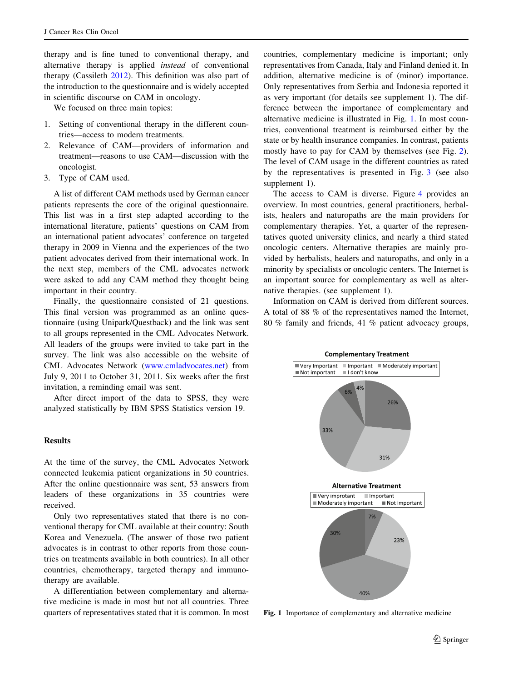therapy and is fine tuned to conventional therapy, and alternative therapy is applied instead of conventional therapy (Cassileth [2012\)](#page-6-0). This definition was also part of the introduction to the questionnaire and is widely accepted in scientific discourse on CAM in oncology.

We focused on three main topics:

- 1. Setting of conventional therapy in the different countries—access to modern treatments.
- 2. Relevance of CAM—providers of information and treatment—reasons to use CAM—discussion with the oncologist.
- 3. Type of CAM used.

A list of different CAM methods used by German cancer patients represents the core of the original questionnaire. This list was in a first step adapted according to the international literature, patients' questions on CAM from an international patient advocates' conference on targeted therapy in 2009 in Vienna and the experiences of the two patient advocates derived from their international work. In the next step, members of the CML advocates network were asked to add any CAM method they thought being important in their country.

Finally, the questionnaire consisted of 21 questions. This final version was programmed as an online questionnaire (using Unipark/Questback) and the link was sent to all groups represented in the CML Advocates Network. All leaders of the groups were invited to take part in the survey. The link was also accessible on the website of CML Advocates Network [\(www.cmladvocates.net](http://www.cmladvocates.net)) from July 9, 2011 to October 31, 2011. Six weeks after the first invitation, a reminding email was sent.

After direct import of the data to SPSS, they were analyzed statistically by IBM SPSS Statistics version 19.

#### **Results**

At the time of the survey, the CML Advocates Network connected leukemia patient organizations in 50 countries. After the online questionnaire was sent, 53 answers from leaders of these organizations in 35 countries were received.

Only two representatives stated that there is no conventional therapy for CML available at their country: South Korea and Venezuela. (The answer of those two patient advocates is in contrast to other reports from those countries on treatments available in both countries). In all other countries, chemotherapy, targeted therapy and immunotherapy are available.

A differentiation between complementary and alternative medicine is made in most but not all countries. Three quarters of representatives stated that it is common. In most countries, complementary medicine is important; only representatives from Canada, Italy and Finland denied it. In addition, alternative medicine is of (minor) importance. Only representatives from Serbia and Indonesia reported it as very important (for details see supplement 1). The difference between the importance of complementary and alternative medicine is illustrated in Fig. 1. In most countries, conventional treatment is reimbursed either by the state or by health insurance companies. In contrast, patients mostly have to pay for CAM by themselves (see Fig. [2](#page-3-0)). The level of CAM usage in the different countries as rated by the representatives is presented in Fig. [3](#page-3-0) (see also supplement 1).

The access to CAM is diverse. Figure [4](#page-3-0) provides an overview. In most countries, general practitioners, herbalists, healers and naturopaths are the main providers for complementary therapies. Yet, a quarter of the representatives quoted university clinics, and nearly a third stated oncologic centers. Alternative therapies are mainly provided by herbalists, healers and naturopaths, and only in a minority by specialists or oncologic centers. The Internet is an important source for complementary as well as alternative therapies. (see supplement 1).

Information on CAM is derived from different sources. A total of 88 % of the representatives named the Internet, 80 % family and friends, 41 % patient advocacy groups,



Fig. 1 Importance of complementary and alternative medicine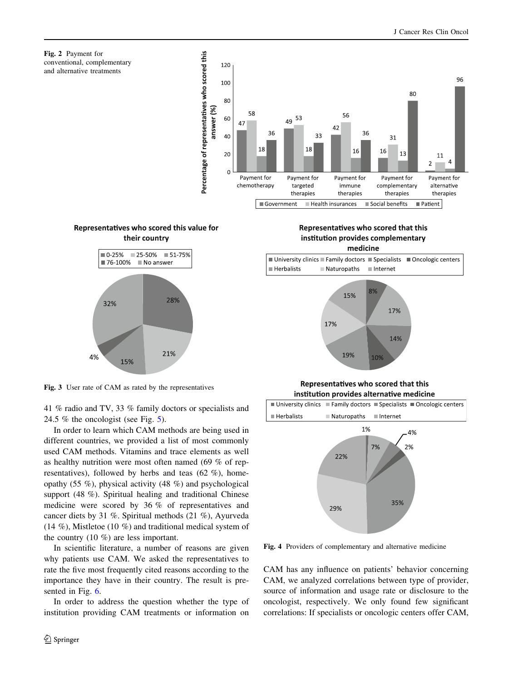<span id="page-3-0"></span>







Fig. 3 User rate of CAM as rated by the representatives

41 % radio and TV, 33 % family doctors or specialists and 24.5 % the oncologist (see Fig.  $5$ ).

In order to learn which CAM methods are being used in different countries, we provided a list of most commonly used CAM methods. Vitamins and trace elements as well as healthy nutrition were most often named (69 % of representatives), followed by herbs and teas (62 %), homeopathy (55 %), physical activity (48 %) and psychological support (48 %). Spiritual healing and traditional Chinese medicine were scored by 36 % of representatives and cancer diets by 31 %. Spiritual methods (21 %), Ayurveda (14 %), Mistletoe (10 %) and traditional medical system of the country (10 %) are less important.

In scientific literature, a number of reasons are given why patients use CAM. We asked the representatives to rate the five most frequently cited reasons according to the importance they have in their country. The result is presented in Fig. [6](#page-4-0).

In order to address the question whether the type of institution providing CAM treatments or information on

Representatives who scored that this institution provides complementary medicine





Representatives who scored that this institution provides alternative medicine



Fig. 4 Providers of complementary and alternative medicine

CAM has any influence on patients' behavior concerning CAM, we analyzed correlations between type of provider, source of information and usage rate or disclosure to the oncologist, respectively. We only found few significant correlations: If specialists or oncologic centers offer CAM,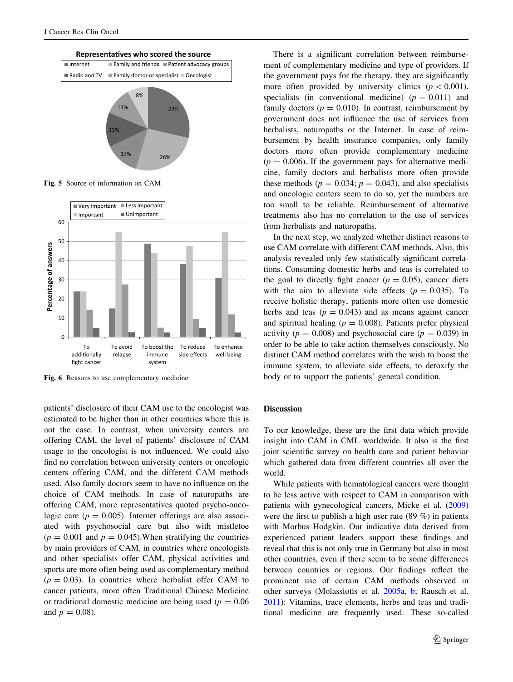<span id="page-4-0"></span>

Fig. 5 Source of information on CAM



Fig. 6 Reasons to use complementary medicine

patients' disclosure of their CAM use to the oncologist was estimated to be higher than in other countries where this is not the case. In contrast, when university centers are offering CAM, the level of patients' disclosure of CAM usage to the oncologist is not influenced. We could also find no correlation between university centers or oncologic centers offering CAM, and the different CAM methods used. Also family doctors seem to have no influence on the choice of CAM methods. In case of naturopaths are offering CAM, more representatives quoted psycho-oncologic care ( $p = 0.005$ ). Internet offerings are also associated with psychosocial care but also with mistletoe  $(p = 0.001$  and  $p = 0.045$ ). When stratifying the countries by main providers of CAM, in countries where oncologists and other specialists offer CAM, physical activities and sports are more often being used as complementary method  $(p = 0.03)$ . In countries where herbalist offer CAM to cancer patients, more often Traditional Chinese Medicine or traditional domestic medicine are being used ( $p = 0.06$ ) and  $p = 0.08$ ).

There is a significant correlation between reimbursement of complementary medicine and type of providers. If the government pays for the therapy, they are significantly more often provided by university clinics ( $p < 0.001$ ), specialists (in conventional medicine)  $(p = 0.011)$  and family doctors ( $p = 0.010$ ). In contrast, reimbursement by government does not influence the use of services from herbalists, naturopaths or the Internet. In case of reimbursement by health insurance companies, only family doctors more often provide complementary medicine  $(p = 0.006)$ . If the government pays for alternative medicine, family doctors and herbalists more often provide these methods ( $p = 0.034$ ;  $p = 0.043$ ), and also specialists and oncologic centers seem to do so, yet the numbers are too small to be reliable. Reimbursement of alternative treatments also has no correlation to the use of services from herbalists and naturopaths.

In the next step, we analyzed whether distinct reasons to use CAM correlate with different CAM methods. Also, this analysis revealed only few statistically significant correlations. Consuming domestic herbs and teas is correlated to the goal to directly fight cancer  $(p = 0.05)$ , cancer diets with the aim to alleviate side effects ( $p = 0.035$ ). To receive holistic therapy, patients more often use domestic herbs and teas  $(p = 0.043)$  and as means against cancer and spiritual healing ( $p = 0.008$ ). Patients prefer physical activity ( $p = 0.008$ ) and psychosocial care ( $p = 0.039$ ) in order to be able to take action themselves consciously. No distinct CAM method correlates with the wish to boost the immune system, to alleviate side effects, to detoxify the body or to support the patients' general condition.

### Discussion

To our knowledge, these are the first data which provide insight into CAM in CML worldwide. It also is the first joint scientific survey on health care and patient behavior which gathered data from different countries all over the world.

While patients with hematological cancers were thought to be less active with respect to CAM in comparison with patients with gynecological cancers, Micke et al. ([2009\)](#page-6-0) were the first to publish a high user rate (89 %) in patients with Morbus Hodgkin. Our indicative data derived from experienced patient leaders support these findings and reveal that this is not only true in Germany but also in most other countries, even if there seem to be some differences between countries or regions. Our findings reflect the prominent use of certain CAM methods observed in other surveys (Molassiotis et al. [2005a,](#page-6-0) [b;](#page-6-0) Rausch et al. [2011](#page-6-0)): Vitamins, trace elements, herbs and teas and traditional medicine are frequently used. These so-called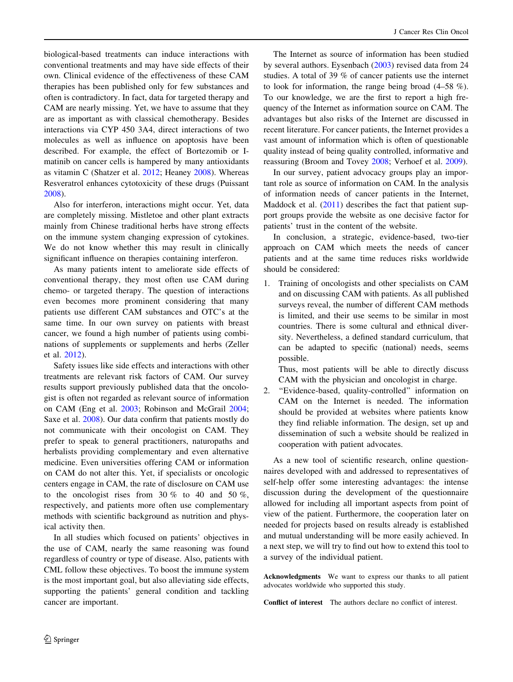biological-based treatments can induce interactions with conventional treatments and may have side effects of their own. Clinical evidence of the effectiveness of these CAM therapies has been published only for few substances and often is contradictory. In fact, data for targeted therapy and CAM are nearly missing. Yet, we have to assume that they are as important as with classical chemotherapy. Besides interactions via CYP 450 3A4, direct interactions of two molecules as well as influence on apoptosis have been described. For example, the effect of Bortezomib or Imatinib on cancer cells is hampered by many antioxidants as vitamin C (Shatzer et al. [2012;](#page-6-0) Heaney [2008](#page-6-0)). Whereas Resveratrol enhances cytotoxicity of these drugs (Puissant [2008\)](#page-6-0).

Also for interferon, interactions might occur. Yet, data are completely missing. Mistletoe and other plant extracts mainly from Chinese traditional herbs have strong effects on the immune system changing expression of cytokines. We do not know whether this may result in clinically significant influence on therapies containing interferon.

As many patients intent to ameliorate side effects of conventional therapy, they most often use CAM during chemo- or targeted therapy. The question of interactions even becomes more prominent considering that many patients use different CAM substances and OTC's at the same time. In our own survey on patients with breast cancer, we found a high number of patients using combinations of supplements or supplements and herbs (Zeller et al. [2012\)](#page-6-0).

Safety issues like side effects and interactions with other treatments are relevant risk factors of CAM. Our survey results support previously published data that the oncologist is often not regarded as relevant source of information on CAM (Eng et al. [2003;](#page-6-0) Robinson and McGrail [2004](#page-6-0); Saxe et al. [2008](#page-6-0)). Our data confirm that patients mostly do not communicate with their oncologist on CAM. They prefer to speak to general practitioners, naturopaths and herbalists providing complementary and even alternative medicine. Even universities offering CAM or information on CAM do not alter this. Yet, if specialists or oncologic centers engage in CAM, the rate of disclosure on CAM use to the oncologist rises from 30  $\%$  to 40 and 50  $\%$ , respectively, and patients more often use complementary methods with scientific background as nutrition and physical activity then.

In all studies which focused on patients' objectives in the use of CAM, nearly the same reasoning was found regardless of country or type of disease. Also, patients with CML follow these objectives. To boost the immune system is the most important goal, but also alleviating side effects, supporting the patients' general condition and tackling cancer are important.

The Internet as source of information has been studied by several authors. Eysenbach [\(2003](#page-6-0)) revised data from 24 studies. A total of 39 % of cancer patients use the internet to look for information, the range being broad (4–58 %). To our knowledge, we are the first to report a high frequency of the Internet as information source on CAM. The advantages but also risks of the Internet are discussed in recent literature. For cancer patients, the Internet provides a vast amount of information which is often of questionable quality instead of being quality controlled, informative and reassuring (Broom and Tovey [2008;](#page-6-0) Verhoef et al. [2009](#page-6-0)).

In our survey, patient advocacy groups play an important role as source of information on CAM. In the analysis of information needs of cancer patients in the Internet, Maddock et al. [\(2011](#page-6-0)) describes the fact that patient support groups provide the website as one decisive factor for patients' trust in the content of the website.

In conclusion, a strategic, evidence-based, two-tier approach on CAM which meets the needs of cancer patients and at the same time reduces risks worldwide should be considered:

1. Training of oncologists and other specialists on CAM and on discussing CAM with patients. As all published surveys reveal, the number of different CAM methods is limited, and their use seems to be similar in most countries. There is some cultural and ethnical diversity. Nevertheless, a defined standard curriculum, that can be adapted to specific (national) needs, seems possible.

Thus, most patients will be able to directly discuss CAM with the physician and oncologist in charge.

2. ''Evidence-based, quality-controlled'' information on CAM on the Internet is needed. The information should be provided at websites where patients know they find reliable information. The design, set up and dissemination of such a website should be realized in cooperation with patient advocates.

As a new tool of scientific research, online questionnaires developed with and addressed to representatives of self-help offer some interesting advantages: the intense discussion during the development of the questionnaire allowed for including all important aspects from point of view of the patient. Furthermore, the cooperation later on needed for projects based on results already is established and mutual understanding will be more easily achieved. In a next step, we will try to find out how to extend this tool to a survey of the individual patient.

Acknowledgments We want to express our thanks to all patient advocates worldwide who supported this study.

Conflict of interest The authors declare no conflict of interest.